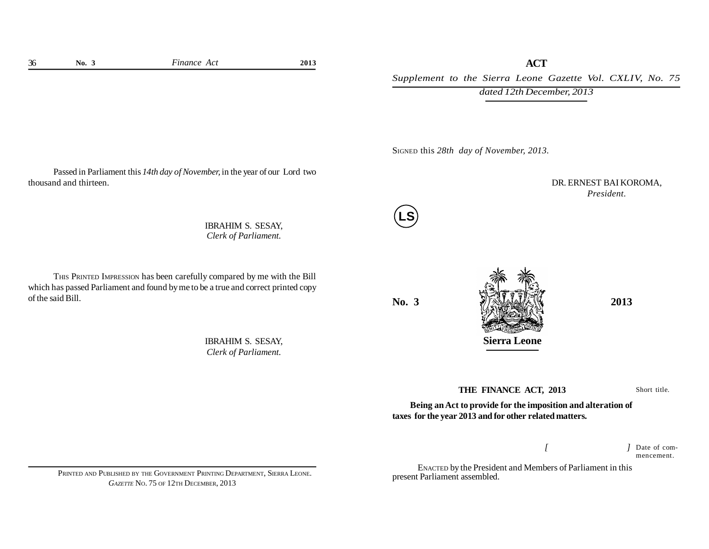*Supplement to the Sierra Leone Gazette Vol. CXLIV, No. 75 dated 12th December, 2013*

SIGNED this *28th day of November, 2013.*

Passed in Parliament this *14th day of November,* in the year of our Lord two thousand and thirteen.

> IBRAHIM S. SESAY, *Clerk of Parliament.*

THIS PRINTED IMPRESSION has been carefully compared by me with the Bill which has passed Parliament and found by me to be a true and correct printed copy of the said Bill.

> IBRAHIM S. SESAY, *Clerk of Parliament.*

**LS**



DR. ERNEST BAI KOROMA, *President.*

**THE FINANCE ACT, 2013**

Short title.

**Being an Act to provide for the imposition and alteration of taxes for the year 2013 and for other related matters.**

> *[ ]* Date of commencement.

ENACTED by the President and Members of Parliament in this present Parliament assembled.

PRINTED AND PUBLISHED BY THE GOVERNMENT PRINTING DEPARTMENT, SIERRA LEONE. *GAZETTE* NO. 75 OF 12TH DECEMBER, 2013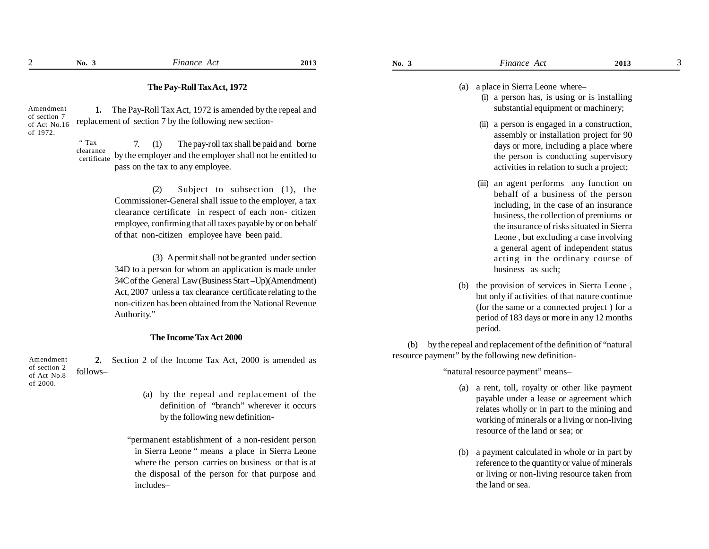## **The Pay-Roll Tax Act, 1972**

Amendment of section 7 of Act No.16 of 1972.

replacement of section 7 by the following new section-7. (1) The pay-roll tax shall be paid and borne by the employer and the employer shall not be entitled to " Tax clearance

**1.** The Pay-Roll Tax Act, 1972 is amended by the repeal and

pass on the tax to any employee. certificate

> (2) Subject to subsection (1), the Commissioner-General shall issue to the employer, a tax clearance certificate in respect of each non- citizen employee, confirming that all taxes payable by or on behalf of that non-citizen employee have been paid.

> (3) A permit shall not be granted under section 34D to a person for whom an application is made under 34C of the General Law (Business Start –Up)(Amendment) Act, 2007 unless a tax clearance certificate relating to the non-citizen has been obtained from the National Revenue Authority."

## **The Income Tax Act 2000**

**2.** Section 2 of the Income Tax Act, 2000 is amended as follows– Amendment of section 2 of Act No.8 of 2000.

- (a) by the repeal and replacement of the definition of "branch" wherever it occurs by the following new definition-
- "permanent establishment of a non-resident person in Sierra Leone " means a place in Sierra Leone where the person carries on business or that is at the disposal of the person for that purpose and includes–

(a) a place in Sierra Leone where–

- (i) a person has, is using or is installing substantial equipment or machinery;
- (ii) a person is engaged in a construction, assembly or installation project for 90 days or more, including a place where the person is conducting supervisory activities in relation to such a project;
- (iii) an agent performs any function on behalf of a business of the person including, in the case of an insurance business, the collection of premiums or the insurance of risks situated in Sierra Leone , but excluding a case involving a general agent of independent status acting in the ordinary course of business as such;
- (b) the provision of services in Sierra Leone , but only if activities of that nature continue (for the same or a connected project ) for a period of 183 days or more in any 12 months period.

(b) by the repeal and replacement of the definition of "natural resource payment" by the following new definition-

"natural resource payment" means–

- (a) a rent, toll, royalty or other like payment payable under a lease or agreement which relates wholly or in part to the mining and working of minerals or a living or non-living resource of the land or sea; or
- (b) a payment calculated in whole or in part by reference to the quantity or value of minerals or living or non-living resource taken from the land or sea.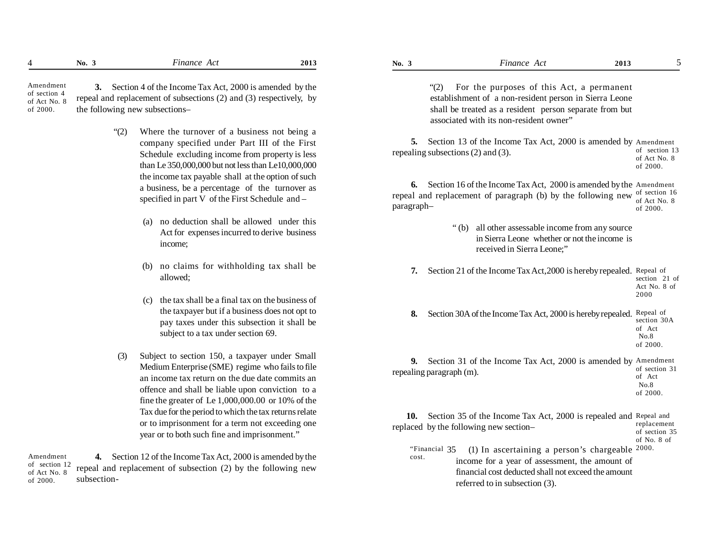| 110. | unance<br>$\sim$<br>. | 201: | No. | inance<br>A<br>. | 201<br>. |  |
|------|-----------------------|------|-----|------------------|----------|--|
|      |                       |      |     |                  |          |  |

 **3.** Section 4 of the Income Tax Act, 2000 is amended by the repeal and replacement of subsections (2) and (3) respectively, by the following new subsections– Amendment of section 4 of Act No. 8 of 2000.

- "(2) Where the turnover of a business not being a company specified under Part III of the First Schedule excluding income from property is less than Le 350,000,000 but not less than Le10,000,000 the income tax payable shall at the option of such a business, be a percentage of the turnover as specified in part V of the First Schedule and –
	- (a) no deduction shall be allowed under this Act for expenses incurred to derive business income;
	- (b) no claims for withholding tax shall be allowed;
	- (c) the tax shall be a final tax on the business of the taxpayer but if a business does not opt to pay taxes under this subsection it shall be subject to a tax under section 69.
- (3) Subject to section 150, a taxpayer under Small Medium Enterprise (SME) regime who fails to file an income tax return on the due date commits an offence and shall be liable upon conviction to a fine the greater of Le 1,000,000.00 or 10% of the Tax due for the period to which the tax returns relate or to imprisonment for a term not exceeding one year or to both such fine and imprisonment."

**4.** Section 12 of the Income Tax Act, 2000 is amended by the repeal and replacement of subsection (2) by the following new subsection- Amendment of section 12 of Act No. 8 of 2000.

"(2) For the purposes of this Act, a permanent establishment of a non-resident person in Sierra Leone shall be treated as a resident person separate from but associated with its non-resident owner"

5. Section 13 of the Income Tax Act, 2000 is amended by Amendment repealing subsections (2) and (3). of section 13 of Act No. 8 of 2000.

**6.** Section 16 of the Income Tax Act, 2000 is amended by the Amendment repeal and replacement of paragraph (b) by the following new of section 16 paragraph– of Act No. 8 of 2000.

- " (b) all other assessable income from any source in Sierra Leone whether or not the income is received in Sierra Leone;"
- **7.** Section 21 of the Income Tax Act,2000 is hereby repealed. Repeal of section 21 of Act No. 8 of

2000

**8.** Section 30A of the Income Tax Act, 2000 is hereby repealed. Repeal of section 30A of Act No.8 of 2000.

**9.** Section 31 of the Income Tax Act, 2000 is amended by Amendment repealing paragraph (m). of section 31 of Act No.8 of 2000.

**10.** Section 35 of the Income Tax Act, 2000 is repealed and Repeal and replaced by the following new section– replacement of section 35

of No. 8 of

"Financial  $35$  (1) In ascertaining a person's chargeable  $2000$ . income for a year of assessment, the amount of financial cost deducted shall not exceed the amount referred to in subsection (3). cost.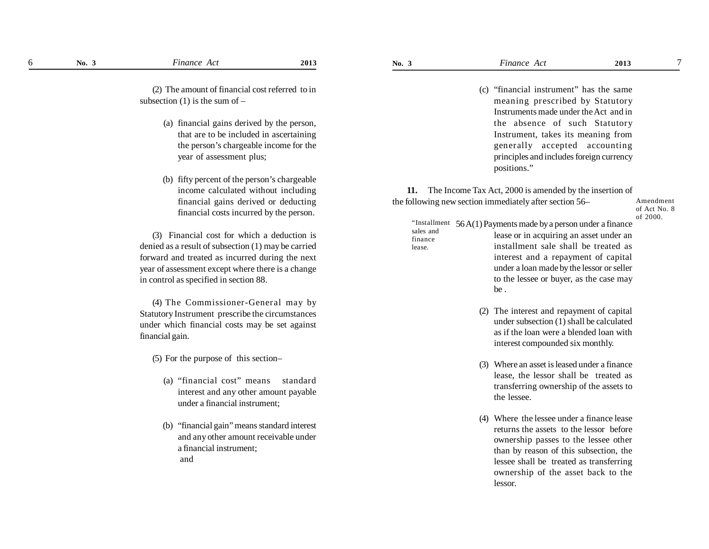lease.

7

(2) The amount of financial cost referred to in subsection  $(1)$  is the sum of –

- (a) financial gains derived by the person, that are to be included in ascertaining the person's chargeable income for the year of assessment plus;
- (b) fifty percent of the person's chargeable income calculated without including financial gains derived or deducting financial costs incurred by the person.

(3) Financial cost for which a deduction is denied as a result of subsection (1) may be carried forward and treated as incurred during the next year of assessment except where there is a change in control as specified in section 88.

(4) The Commissioner-General may by Statutory Instrument prescribe the circumstances under which financial costs may be set against financial gain.

(5) For the purpose of this section–

- (a) "financial cost" means standard interest and any other amount payable under a financial instrument;
- (b) "financial gain" means standard interest and any other amount receivable under a financial instrument; and

(c) "financial instrument" has the same meaning prescribed by Statutory Instruments made under the Act and in the absence of such Statutory Instrument, takes its meaning from generally accepted accounting principles and includes foreign currency positions."

**11.** The Income Tax Act, 2000 is amended by the insertion of the following new section immediately after section 56–

56 A(1) Payments made by a person under a finance "Installment sales and

```
lease or in acquiring an asset under an
                       installment sale shall be treated as
                       interest and a repayment of capital
                       under a loan made by the lessor or seller
                      to the lessee or buyer, as the case may
                      be .
finance
```
- (2) The interest and repayment of capital under subsection (1) shall be calculated as if the loan were a blended loan with interest compounded six monthly.
- (3) Where an asset is leased under a finance lease, the lessor shall be treated as transferring ownership of the assets to the lessee.
- (4) Where the lessee under a finance lease returns the assets to the lessor before ownership passes to the lessee other than by reason of this subsection, the lessee shall be treated as transferring ownership of the asset back to the lessor.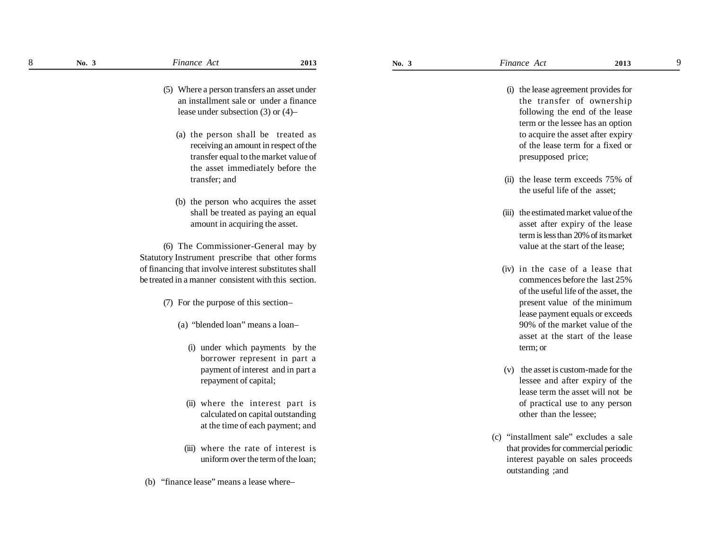9

(5) Where a person transfers an asset under an installment sale or under a finance lease under subsection (3) or (4)–

- (a) the person shall be treated as receiving an amount in respect of the transfer equal to the market value of the asset immediately before the transfer; and
- (b) the person who acquires the asset shall be treated as paying an equal amount in acquiring the asset.

(6) The Commissioner-General may by Statutory Instrument prescribe that other forms of financing that involve interest substitutes shall be treated in a manner consistent with this section.

- (7) For the purpose of this section–
	- (a) "blended loan" means a loan–
		- (i) under which payments by the borrower represent in part a payment of interest and in part a repayment of capital;
		- (ii) where the interest part is calculated on capital outstanding at the time of each payment; and
	- (iii) where the rate of interest is uniform over the term of the loan;
- (b) "finance lease" means a lease where–
- (i) the lease agreement provides for the transfer of ownership following the end of the lease term or the lessee has an option to acquire the asset after expiry of the lease term for a fixed or presupposed price;
- (ii) the lease term exceeds 75% of the useful life of the asset;
- (iii) the estimated market value of the asset after expiry of the lease term is less than 20% of its market value at the start of the lease;
- (iv) in the case of a lease that commences before the last 25% of the useful life of the asset, the present value of the minimum lease payment equals or exceeds 90% of the market value of the asset at the start of the lease term; or
- (v) the asset is custom-made for the lessee and after expiry of the lease term the asset will not be of practical use to any person other than the lessee;
- (c) "installment sale" excludes a sale that provides for commercial periodic interest payable on sales proceeds outstanding ;and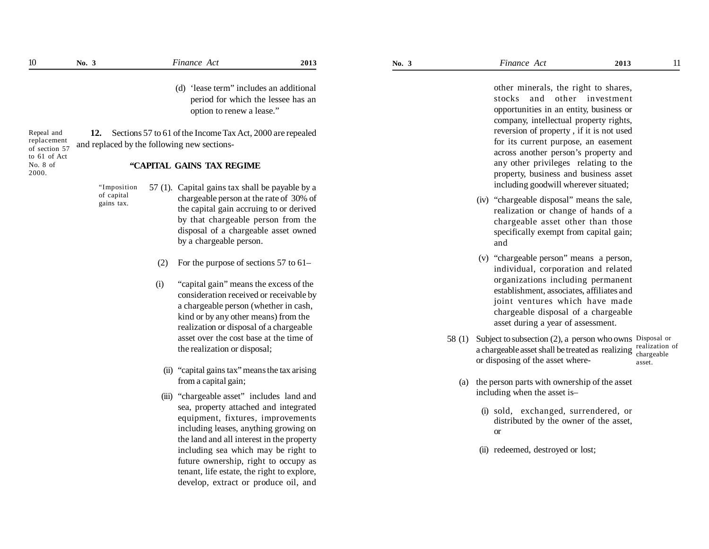No. 8 of 2000.

(d) 'lease term" includes an additional period for which the lessee has an option to renew a lease."

**12.** Sections 57 to 61 of the Income Tax Act, 2000 are repealed and replaced by the following new sections- Repeal and replacement of section 57 to 61 of Act

## **"CAPITAL GAINS TAX REGIME**

"Imposition of capital gains tax.

- 57 (1). Capital gains tax shall be payable by a chargeable person at the rate of 30% of the capital gain accruing to or derived by that chargeable person from the disposal of a chargeable asset owned by a chargeable person.
	- (2) For the purpose of sections 57 to 61–
	- (i) "capital gain" means the excess of the consideration received or receivable by a chargeable person (whether in cash, kind or by any other means) from the realization or disposal of a chargeable asset over the cost base at the time of the realization or disposal;
		- (ii) "capital gains tax" means the tax arising from a capital gain;
	- (iii) "chargeable asset" includes land and sea, property attached and integrated equipment, fixtures, improvements including leases, anything growing on the land and all interest in the property including sea which may be right to future ownership, right to occupy as tenant, life estate, the right to explore, develop, extract or produce oil, and

other minerals, the right to shares, stocks and other investment opportunities in an entity, business or company, intellectual property rights, reversion of property , if it is not used for its current purpose, an easement across another person's property and any other privileges relating to the property, business and business asset including goodwill wherever situated;

- (iv) "chargeable disposal" means the sale, realization or change of hands of a chargeable asset other than those specifically exempt from capital gain; and
- (v) "chargeable person" means a person, individual, corporation and related organizations including permanent establishment, associates, affiliates and joint ventures which have made chargeable disposal of a chargeable asset during a year of assessment.
- 58 (1) Subject to subsection (2), a person who owns Disposal or a chargeable asset shall be treated as realizing realization of or disposing of the asset where chargeable asset.
	- (a) the person parts with ownership of the asset including when the asset is–
		- (i) sold, exchanged, surrendered, or distributed by the owner of the asset, or
		- (ii) redeemed, destroyed or lost;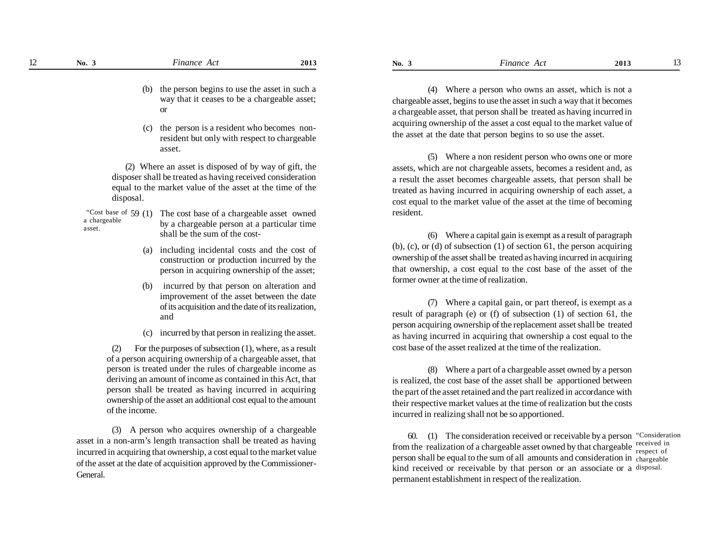- (b) the person begins to use the asset in such a way that it ceases to be a chargeable asset; or
- (c) the person is a resident who becomes nonresident but only with respect to chargeable asset.

(2) Where an asset is disposed of by way of gift, the disposer shall be treated as having received consideration equal to the market value of the asset at the time of the disposal.

- The cost base of a chargeable asset owned by a chargeable person at a particular time shall be the sum of the cost- "Cost base of  $59(1)$ a chargeable asset.
	- (a) including incidental costs and the cost of construction or production incurred by the person in acquiring ownership of the asset;
	- (b) incurred by that person on alteration and improvement of the asset between the date of its acquisition and the date of its realization, and
	- (c) incurred by that person in realizing the asset.

For the purposes of subsection  $(1)$ , where, as a result of a person acquiring ownership of a chargeable asset, that person is treated under the rules of chargeable income as deriving an amount of income as contained in this Act, that person shall be treated as having incurred in acquiring ownership of the asset an additional cost equal to the amount of the income.

(3) A person who acquires ownership of a chargeable asset in a non-arm's length transaction shall be treated as having incurred in acquiring that ownership, a cost equal to the market value of the asset at the date of acquisition approved by the Commissioner-General.

(4) Where a person who owns an asset, which is not a chargeable asset, begins to use the asset in such a way that it becomes a chargeable asset, that person shall be treated as having incurred in acquiring ownership of the asset a cost equal to the market value of the asset at the date that person begins to so use the asset.

(5) Where a non resident person who owns one or more assets, which are not chargeable assets, becomes a resident and, as a result the asset becomes chargeable assets, that person shall be treated as having incurred in acquiring ownership of each asset, a cost equal to the market value of the asset at the time of becoming resident.

(6) Where a capital gain is exempt as a result of paragraph (b), (c), or (d) of subsection (1) of section 61, the person acquiring ownership of the asset shall be treated as having incurred in acquiring that ownership, a cost equal to the cost base of the asset of the former owner at the time of realization.

(7) Where a capital gain, or part thereof, is exempt as a result of paragraph (e) or (f) of subsection (1) of section 61, the person acquiring ownership of the replacement asset shall be treated as having incurred in acquiring that ownership a cost equal to the cost base of the asset realized at the time of the realization.

(8) Where a part of a chargeable asset owned by a person is realized, the cost base of the asset shall be apportioned between the part of the asset retained and the part realized in accordance with their respective market values at the time of realization but the costs incurred in realizing shall not be so apportioned.

60. (1) The consideration received or receivable by a person "Consideration from the realization of a chargeable asset owned by that chargeable received in person shall be equal to the sum of all amounts and consideration in chargeable kind received or receivable by that person or an associate or a disposal. permanent establishment in respect of the realization. respect of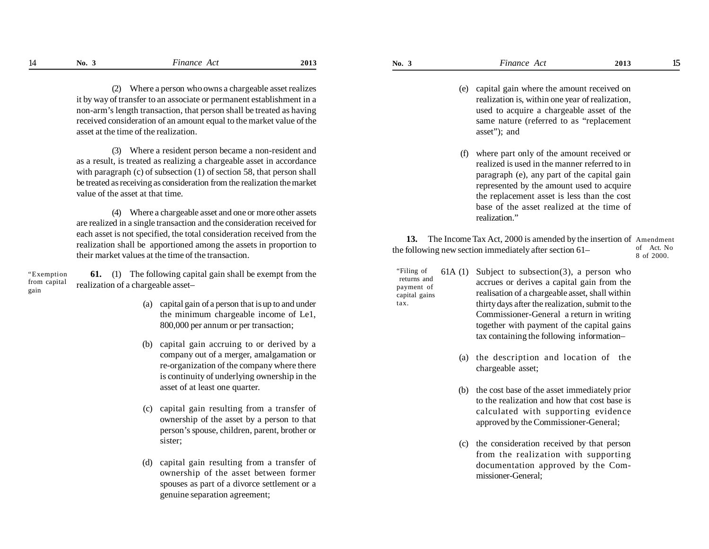- 
- (e) capital gain where the amount received on realization is, within one year of realization, used to acquire a chargeable asset of the same nature (referred to as "replacement asset"); and
- (f) where part only of the amount received or realized is used in the manner referred to in paragraph (e), any part of the capital gain represented by the amount used to acquire the replacement asset is less than the cost base of the asset realized at the time of realization"

**13.** The Income Tax Act, 2000 is amended by the insertion of Amendment the following new section immediately after section 61– of Act. No 8 of 2000.

- 61A (1) Subject to subsection  $(3)$ , a person who accrues or derives a capital gain from the realisation of a chargeable asset, shall within thirty days after the realization, submit to the Commissioner-General a return in writing together with payment of the capital gains tax containing the following information– "Filing of returns and payment of capital gains tax.
	- (a) the description and location of the chargeable asset;
	- (b) the cost base of the asset immediately prior to the realization and how that cost base is calculated with supporting evidence approved by the Commissioner-General;
	- (c) the consideration received by that person from the realization with supporting documentation approved by the Commissioner-General;

(2) Where a person who owns a chargeable asset realizes it by way of transfer to an associate or permanent establishment in a non-arm's length transaction, that person shall be treated as having received consideration of an amount equal to the market value of the asset at the time of the realization.

(3) Where a resident person became a non-resident and as a result, is treated as realizing a chargeable asset in accordance with paragraph (c) of subsection (1) of section 58, that person shall be treated as receiving as consideration from the realization the market value of the asset at that time.

(4) Where a chargeable asset and one or more other assets are realized in a single transaction and the consideration received for each asset is not specified, the total consideration received from the realization shall be apportioned among the assets in proportion to their market values at the time of the transaction.

**61.** (1) The following capital gain shall be exempt from the realization of a chargeable asset– "Exemption from capital gain

- (a) capital gain of a person that is up to and under the minimum chargeable income of Le1, 800,000 per annum or per transaction;
- (b) capital gain accruing to or derived by a company out of a merger, amalgamation or re-organization of the company where there is continuity of underlying ownership in the asset of at least one quarter.
- (c) capital gain resulting from a transfer of ownership of the asset by a person to that person's spouse, children, parent, brother or sister;
- (d) capital gain resulting from a transfer of ownership of the asset between former spouses as part of a divorce settlement or a genuine separation agreement;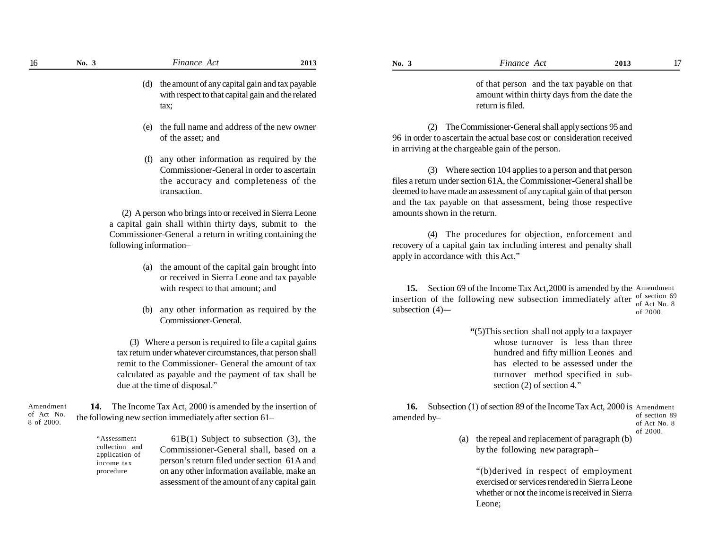(d) the amount of any capital gain and tax payable with respect to that capital gain and the related tax;

- (e) the full name and address of the new owner of the asset; and
- (f) any other information as required by the Commissioner-General in order to ascertain the accuracy and completeness of the transaction.

(2) A person who brings into or received in Sierra Leone a capital gain shall within thirty days, submit to the Commissioner-General a return in writing containing the following information–

- (a) the amount of the capital gain brought into or received in Sierra Leone and tax payable with respect to that amount; and
- (b) any other information as required by the Commissioner-General.

(3) Where a person is required to file a capital gains tax return under whatever circumstances, that person shall remit to the Commissioner- General the amount of tax calculated as payable and the payment of tax shall be due at the time of disposal."

**14.** The Income Tax Act, 2000 is amended by the insertion of the following new section immediately after section 61– Amendment of Act No. 8 of 2000.

> $61B(1)$  Subject to subsection  $(3)$ , the Commissioner-General shall, based on a person's return filed under section 61A and on any other information available, make an assessment of the amount of any capital gain "Assessment collection and application of income tax procedure

of that person and the tax payable on that amount within thirty days from the date the return is filed.

(2) The Commissioner-General shall apply sections 95 and 96 in order to ascertain the actual base cost or consideration received in arriving at the chargeable gain of the person.

(3) Where section 104 applies to a person and that person files a return under section 61A, the Commissioner-General shall be deemed to have made an assessment of any capital gain of that person and the tax payable on that assessment, being those respective amounts shown in the return.

(4) The procedures for objection, enforcement and recovery of a capital gain tax including interest and penalty shall apply in accordance with this Act."

**15.** Section 69 of the Income Tax Act,2000 is amended by the Amendment insertion of the following new subsection immediately after of section 69 subsection (4)-**–** of Act No. 8 of 2000.

> **"**(5)This section shall not apply to a taxpayer whose turnover is less than three hundred and fifty million Leones and has elected to be assessed under the turnover method specified in subsection (2) of section 4."

16. Subsection (1) of section 89 of the Income Tax Act, 2000 is Amendment amended by– of section 89

#### of Act No. 8 of 2000.

(a) the repeal and replacement of paragraph (b) by the following new paragraph–

"(b)derived in respect of employment exercised or services rendered in Sierra Leone whether or not the income is received in Sierra Leone;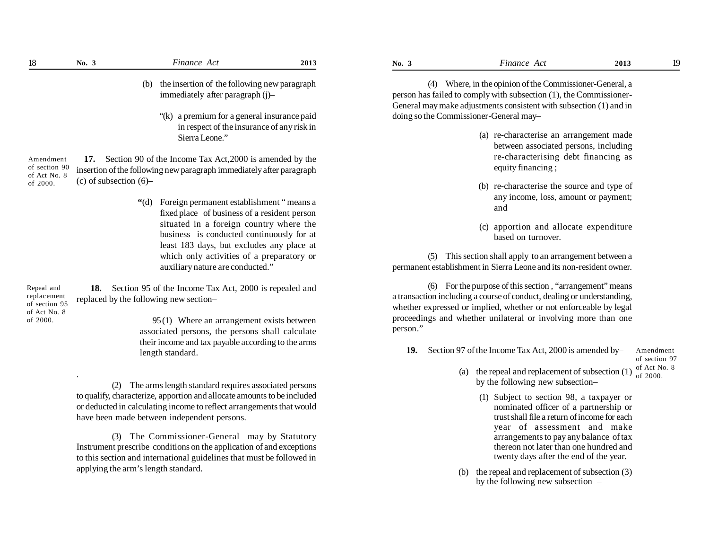| 18                                                         | No. 3                     | Finance Act                                                                                                                                        | 2013 | No. 3    | Finance Act                                                                                                                                                                                             | 2013 | 19                                         |
|------------------------------------------------------------|---------------------------|----------------------------------------------------------------------------------------------------------------------------------------------------|------|----------|---------------------------------------------------------------------------------------------------------------------------------------------------------------------------------------------------------|------|--------------------------------------------|
|                                                            |                           | the insertion of the following new paragraph<br>(b)<br>immediately after paragraph (j)-                                                            |      | (4)      | Where, in the opinion of the Commissioner-General, a<br>person has failed to comply with subsection (1), the Commissioner-<br>General may make adjustments consistent with subsection (1) and in        |      |                                            |
|                                                            |                           | "(k) a premium for a general insurance paid<br>in respect of the insurance of any risk in<br>Sierra Leone."                                        |      |          | doing so the Commissioner-General may-<br>(a) re-characterise an arrangement made<br>between associated persons, including                                                                              |      |                                            |
| Amendment<br>of section 90<br>of Act No. 8                 |                           | 17. Section 90 of the Income Tax Act, 2000 is amended by the<br>insertion of the following new paragraph immediately after paragraph               |      |          | re-characterising debt financing as<br>equity financing;                                                                                                                                                |      |                                            |
| of 2000.                                                   | (c) of subsection $(6)$ – | Foreign permanent establishment "means a<br>(6)<br>fixed place of business of a resident person                                                    |      |          | (b) re-characterise the source and type of<br>any income, loss, amount or payment;<br>and                                                                                                               |      |                                            |
|                                                            |                           | situated in a foreign country where the<br>business is conducted continuously for at<br>least 183 days, but excludes any place at                  |      |          | (c) apportion and allocate expenditure<br>based on turnover.                                                                                                                                            |      |                                            |
|                                                            |                           | which only activities of a preparatory or<br>auxiliary nature are conducted."                                                                      |      | (5)      | This section shall apply to an arrangement between a<br>permanent establishment in Sierra Leone and its non-resident owner.                                                                             |      |                                            |
| Repeal and<br>replacement<br>of section 95<br>of Act No. 8 | 18.                       | Section 95 of the Income Tax Act, 2000 is repealed and<br>replaced by the following new section-                                                   |      |          | (6) For the purpose of this section, "arrangement" means<br>a transaction including a course of conduct, dealing or understanding,<br>whether expressed or implied, whether or not enforceable by legal |      |                                            |
| of 2000.                                                   |                           | 95(1) Where an arrangement exists between<br>associated persons, the persons shall calculate<br>their income and tax payable according to the arms |      | person." | proceedings and whether unilateral or involving more than one                                                                                                                                           |      |                                            |
|                                                            |                           | length standard.                                                                                                                                   |      | 19.      | Section 97 of the Income Tax Act, 2000 is amended by-                                                                                                                                                   |      | Amendment<br>of section 97<br>of Act No. 8 |
|                                                            |                           |                                                                                                                                                    |      |          | (a) the repeal and replacement of subsection (1)                                                                                                                                                        |      | of 2000.                                   |

(2) The arms length standard requires associated persons to qualify, characterize, apportion and allocate amounts to be included or deducted in calculating income to reflect arrangements that would have been made between independent persons.

(3) The Commissioner-General may by Statutory Instrument prescribe conditions on the application of and exceptions to this section and international guidelines that must be followed in applying the arm's length standard.

- (a) re-characterise an arrangement made between associated persons, including re-characterising debt financing as equity financing ;
- (b) re-characterise the source and type of any income, loss, amount or payment; and
- (c) apportion and allocate expenditure based on turnover.

- (a) the repeal and replacement of subsection (1) by the following new subsection– of 2000.
	- (1) Subject to section 98, a taxpayer or nominated officer of a partnership or trust shall file a return of income for each year of assessment and make arrangements to pay any balance of tax thereon not later than one hundred and twenty days after the end of the year.
- (b) the repeal and replacement of subsection (3) by the following new subsection –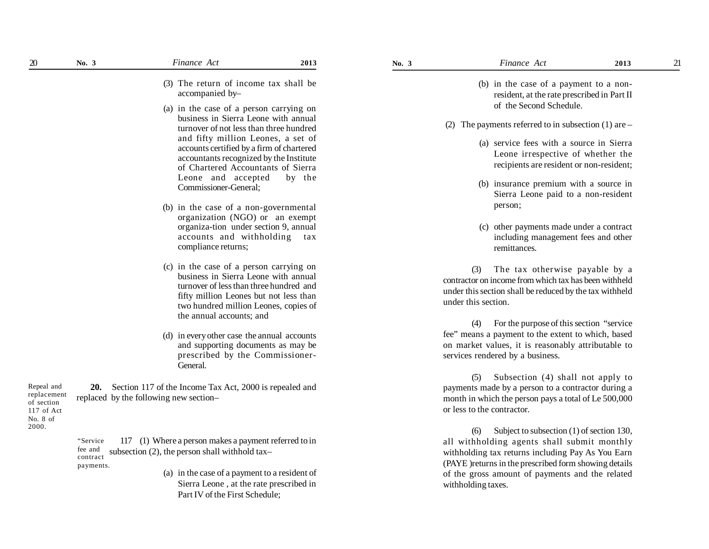- (3) The return of income tax shall be accompanied by–
- (a) in the case of a person carrying on business in Sierra Leone with annual turnover of not less than three hundred and fifty million Leones, a set of accounts certified by a firm of chartered accountants recognized by the Institute of Chartered Accountants of Sierra Leone and accepted by the Commissioner-General;
- (b) in the case of a non-governmental organization (NGO) or an exempt organiza-tion under section 9, annual accounts and withholding tax compliance returns;
- (c) in the case of a person carrying on business in Sierra Leone with annual turnover of less than three hundred and fifty million Leones but not less than two hundred million Leones, copies of the annual accounts; and
- (d) in every other case the annual accounts and supporting documents as may be prescribed by the Commissioner-General.

**20.** Section 117 of the Income Tax Act, 2000 is repealed and replaced by the following new section– Repeal and replacement of section 117 of Act No. 8 of 2000.

> 117 (1) Where a person makes a payment referred to in subsection (2), the person shall withhold tax– "Service fee and contract payments.

> > (a) in the case of a payment to a resident of Sierra Leone , at the rate prescribed in Part IV of the First Schedule;

- (b) in the case of a payment to a nonresident, at the rate prescribed in Part II of the Second Schedule.
- (2) The payments referred to in subsection  $(1)$  are
	- (a) service fees with a source in Sierra Leone irrespective of whether the recipients are resident or non-resident;
	- (b) insurance premium with a source in Sierra Leone paid to a non-resident person;
	- (c) other payments made under a contract including management fees and other remittances.

(3) The tax otherwise payable by a contractor on income from which tax has been withheld under this section shall be reduced by the tax withheld under this section.

(4) For the purpose of this section "service fee" means a payment to the extent to which, based on market values, it is reasonably attributable to services rendered by a business.

(5) Subsection (4) shall not apply to payments made by a person to a contractor during a month in which the person pays a total of Le 500,000 or less to the contractor.

(6) Subject to subsection (1) of section 130, all withholding agents shall submit monthly withholding tax returns including Pay As You Earn (PAYE )returns in the prescribed form showing details of the gross amount of payments and the related withholding taxes.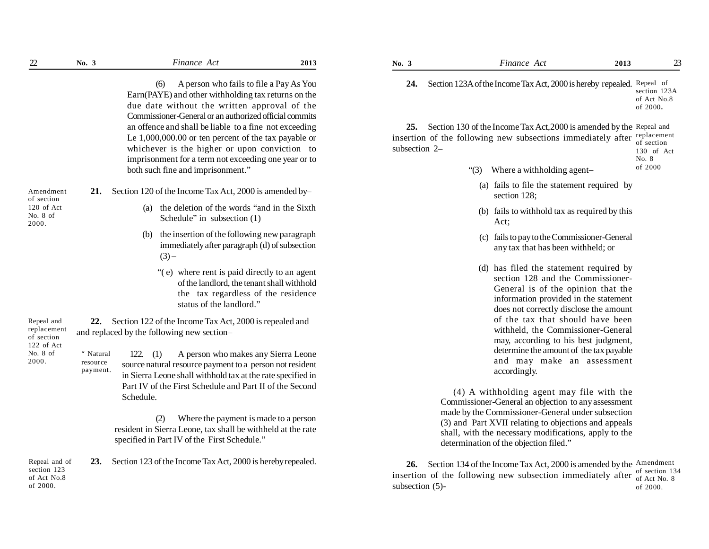(6) A person who fails to file a Pay As You Earn(PAYE) and other withholding tax returns on the due date without the written approval of the Commissioner-General or an authorized official commits an offence and shall be liable to a fine not exceeding Le 1,000,000.00 or ten percent of the tax payable or whichever is the higher or upon conviction to imprisonment for a term not exceeding one year or to both such fine and imprisonment."

| Amendment  |  | Section 120 of the Income Tax Act, 2000 is amended by- |
|------------|--|--------------------------------------------------------|
| of section |  |                                                        |
| 120 of Act |  | (a) the deletion of the words "and in the Sixth"       |
| No. $8$ of |  | Schedule" in subsection $(1)$                          |
|            |  |                                                        |

 $(3)$  –

- (b) the insertion of the following new paragraph immediately after paragraph (d) of subsection
	- "( e) where rent is paid directly to an agent of the landlord, the tenant shall withhold the tax regardless of the residence status of the landlord."

**22.** Section 122 of the Income Tax Act, 2000 is repealed and and replaced by the following new section–

> 122. (1) A person who makes any Sierra Leone source natural resource payment to a person not resident in Sierra Leone shall withhold tax at the rate specified in Part IV of the First Schedule and Part II of the Second Schedule. " Natural resource payment.

> > (2) Where the payment is made to a person resident in Sierra Leone, tax shall be withheld at the rate specified in Part IV of the First Schedule."

**23.** Section 123 of the Income Tax Act, 2000 is hereby repealed. Repeal and of section 123 of Act No.8 of 2000.

| Finance Act |  |
|-------------|--|
|             |  |

24. Section 123A of the Income Tax Act, 2000 is hereby repealed. Repeal of section 123A of Act No.8 of 2000**.**

**25.** Section 130 of the Income Tax Act,2000 is amended by the Repeal and insertion of the following new subsections immediately after  $\epsilon$  replacement subsection 2– of section 130 of Act

No. 8

of 2000

- "(3) Where a withholding agent–
	- (a) fails to file the statement required by section 128;
	- (b) fails to withhold tax as required by this Act;
	- (c) fails to pay to the Commissioner-General any tax that has been withheld; or
	- (d) has filed the statement required by section 128 and the Commissioner-General is of the opinion that the information provided in the statement does not correctly disclose the amount of the tax that should have been withheld, the Commissioner-General may, according to his best judgment, determine the amount of the tax payable and may make an assessment accordingly.

(4) A withholding agent may file with the Commissioner-General an objection to any assessment made by the Commissioner-General under subsection (3) and Part XVII relating to objections and appeals shall, with the necessary modifications, apply to the determination of the objection filed."

26. Section 134 of the Income Tax Act, 2000 is amended by the Amendment insertion of the following new subsection immediately after of  $_{\text{of Act No}}$  8 subsection (5) of Act No. 8 of 2000.

Repeal and replacement of section 122 of Act No. 8 of

2000.

2000.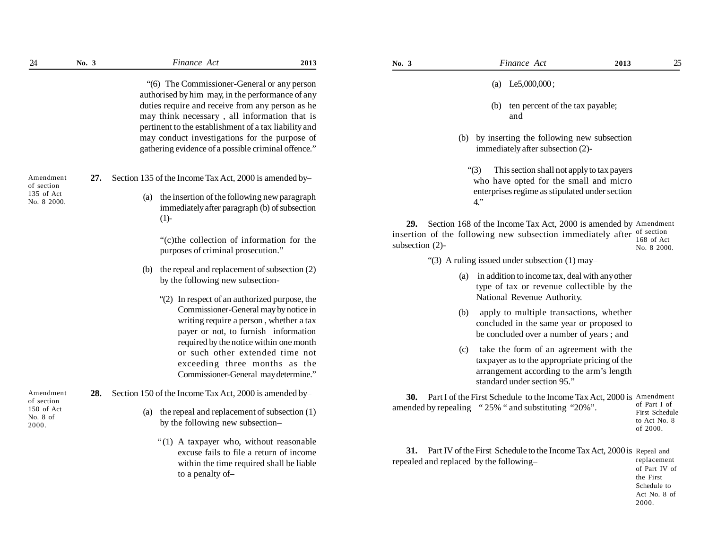| $24\,$                   | No. 3                                         | Finance Act                                                                                     | 2013                                     | No. 3              | Finance Act                                                                 | 25<br>2013                     |
|--------------------------|-----------------------------------------------|-------------------------------------------------------------------------------------------------|------------------------------------------|--------------------|-----------------------------------------------------------------------------|--------------------------------|
|                          |                                               | "(6) The Commissioner-General or any person<br>authorised by him may, in the performance of any |                                          |                    | (a) Le5,000,000;                                                            |                                |
|                          |                                               | duties require and receive from any person as he                                                |                                          |                    | ten percent of the tax payable;<br>(b)                                      |                                |
|                          |                                               | may think necessary, all information that is                                                    |                                          |                    | and                                                                         |                                |
|                          |                                               | pertinent to the establishment of a tax liability and                                           |                                          |                    |                                                                             |                                |
|                          |                                               | may conduct investigations for the purpose of                                                   |                                          |                    | (b) by inserting the following new subsection                               |                                |
|                          |                                               | gathering evidence of a possible criminal offence."                                             |                                          |                    | immediately after subsection (2)-                                           |                                |
|                          |                                               |                                                                                                 |                                          |                    | This section shall not apply to tax payers<br>"(3)                          |                                |
| Amendment                | 27.                                           | Section 135 of the Income Tax Act, 2000 is amended by-                                          |                                          |                    | who have opted for the small and micro                                      |                                |
| of section<br>135 of Act |                                               | (a) the insertion of the following new paragraph                                                |                                          |                    | enterprises regime as stipulated under section                              |                                |
| No. 8 2000.              |                                               | immediately after paragraph (b) of subsection                                                   |                                          |                    | $4.$ "                                                                      |                                |
|                          |                                               | (1)                                                                                             |                                          |                    | 29. Section 168 of the Income Tax Act, 2000 is amended by Amendment         |                                |
|                          |                                               |                                                                                                 |                                          |                    | insertion of the following new subsection immediately after                 | of section                     |
|                          |                                               | "(c) the collection of information for the<br>purposes of criminal prosecution."                |                                          | subsection $(2)$ - |                                                                             | 168 of Act<br>No. 8 2000.      |
|                          |                                               |                                                                                                 |                                          |                    | "(3) A ruling issued under subsection $(1)$ may-                            |                                |
|                          |                                               | the repeal and replacement of subsection (2)<br>(b)                                             |                                          |                    | in addition to income tax, deal with any other<br>(a)                       |                                |
|                          |                                               | by the following new subsection-                                                                |                                          |                    | type of tax or revenue collectible by the                                   |                                |
|                          | "(2) In respect of an authorized purpose, the | National Revenue Authority.                                                                     |                                          |                    |                                                                             |                                |
|                          |                                               | Commissioner-General may by notice in                                                           |                                          |                    | apply to multiple transactions, whether<br>(b)                              |                                |
|                          |                                               | writing require a person, whether a tax                                                         |                                          |                    | concluded in the same year or proposed to                                   |                                |
|                          | payer or not, to furnish information          |                                                                                                 | be concluded over a number of years; and |                    |                                                                             |                                |
|                          | required by the notice within one month       | take the form of an agreement with the<br>(c)                                                   |                                          |                    |                                                                             |                                |
|                          |                                               | or such other extended time not                                                                 |                                          |                    | taxpayer as to the appropriate pricing of the                               |                                |
|                          |                                               | exceeding three months as the                                                                   |                                          |                    | arrangement according to the arm's length                                   |                                |
|                          |                                               | Commissioner-General may determine."                                                            |                                          |                    | standard under section 95."                                                 |                                |
| Amendment<br>of section  |                                               | 28. Section 150 of the Income Tax Act, 2000 is amended by-                                      |                                          |                    | 30. Part I of the First Schedule to the Income Tax Act, 2000 is Amendment   |                                |
| 150 of Act               |                                               | the repeal and replacement of subsection (1)<br>(a)                                             |                                          |                    | amended by repealing "25% " and substituting "20%".                         | of Part I of<br>First Schedule |
| No. $8$ of<br>2000.      |                                               | by the following new subsection-                                                                |                                          |                    |                                                                             | to Act No. 8                   |
|                          |                                               |                                                                                                 |                                          |                    |                                                                             | of 2000.                       |
|                          |                                               | "(1) A taxpayer who, without reasonable                                                         |                                          |                    |                                                                             |                                |
|                          |                                               | excuse fails to file a return of income                                                         |                                          |                    | 31. Part IV of the First Schedule to the Income Tax Act, 2000 is Repeal and |                                |
|                          |                                               | within the time required shall be liable                                                        |                                          |                    | repealed and replaced by the following-                                     | replacement<br>of Part IV of   |
|                          |                                               | to a penalty of-                                                                                |                                          |                    |                                                                             | the First                      |
|                          |                                               |                                                                                                 |                                          |                    |                                                                             | Schedule to                    |

Act No. 8 of 2000.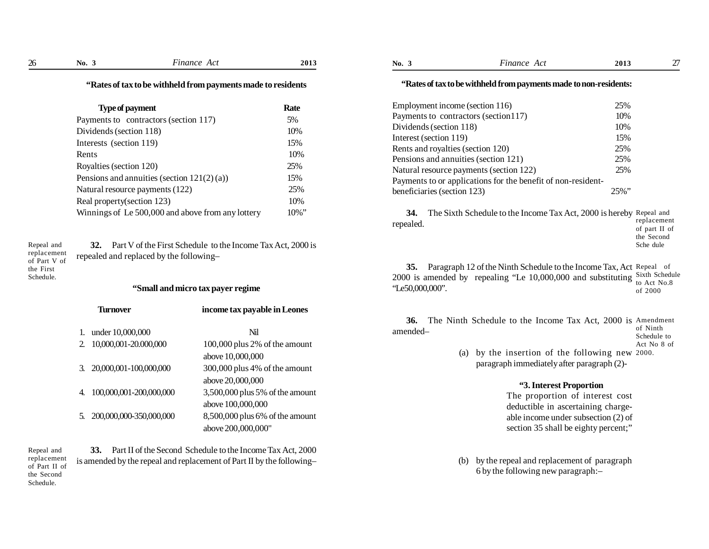| 26 | No. $3$                                                       | Finance Act | 2013 | No. $3$                           | Finance Act                                                                                                                         | 2013                 | 27 |
|----|---------------------------------------------------------------|-------------|------|-----------------------------------|-------------------------------------------------------------------------------------------------------------------------------------|----------------------|----|
|    | "Rates of tax to be withheld from payments made to residents" |             |      |                                   | "Rates of tax to be withheld from payments made to non-residents:                                                                   |                      |    |
|    | Type of payment                                               |             | Rate | Employment income (section 116)   |                                                                                                                                     | 25%                  |    |
|    | Payments to contractors (section 117)                         |             | 5%   |                                   | Payments to contractors (section 117)                                                                                               | 10%                  |    |
|    | Dividends (section 118)                                       |             | 10%  | Dividends (section 118)           |                                                                                                                                     | 10%                  |    |
|    | Interests (section 119)                                       |             | 15%  | Interest (section 119)            |                                                                                                                                     | 15%                  |    |
|    |                                                               |             |      | Rents and royalties (section 120) |                                                                                                                                     | 25%                  |    |
|    | Rents                                                         |             | 10%  |                                   | Pensions and annuities (section 121)                                                                                                | 25%                  |    |
|    | Rovalties (section 120)                                       |             | 25%  |                                   | $\mathbf{r}$ and $\mathbf{r}$ and $\mathbf{r}$ and $\mathbf{r}$ and $\mathbf{r}$ and $\mathbf{r}$ and $\mathbf{r}$ and $\mathbf{r}$ | $\sim$ $\sim$ $\sim$ |    |

byanies (section Pensions and annuities (section  $121(2)(a)$ ) 15% Natural resource payments (122) 25% Real property(section 123) 10% Winnings of Le 500,000 and above from any lottery 10%"

Repeal and **32.** Part V of the First Schedule to the Income Tax Act, 2000 is Sche dule repealed and replaced by the following– replacement of Part V of

the First Schedule.

## **"Small and micro tax payer regime**

|    | Turnover                | income tax payable in Leones    |
|----|-------------------------|---------------------------------|
| 1. | under 10,000,000        | Nil                             |
| 2. | 10,000,001-20.000,000   | 100,000 plus 2% of the amount   |
|    |                         | above 10,000,000                |
| 3. | 20,000,001-100,000,000  | 300,000 plus 4% of the amount   |
|    |                         | above 20,000,000                |
| 4. | 100,000,001-200,000,000 | 3,500,000 plus 5% of the amount |
|    |                         | above 100,000,000               |
| 5. | 200,000,000-350,000,000 | 8,500,000 plus 6% of the amount |
|    |                         | above 200,000,000"              |

**33.** Part II of the Second Schedule to the Income Tax Act, 2000 is amended by the repeal and replacement of Part II by the following– Repeal and replacement of Part II of the Second Schedule.

**No. 3** *Finance Act* **2013 No. 3** *Finance Act* **2013**

# **"Rates of tax to be withheld from payments made to non-residents:**

| Employment income (section 116)                              | 25%      |
|--------------------------------------------------------------|----------|
| Payments to contractors (section 117)                        | 10%      |
| Dividends (section 118)                                      | 10%      |
| Interest (section 119)                                       | 15%      |
| Rents and royalties (section 120)                            | 25%      |
| Pensions and annuities (section 121)                         | 25%      |
| Natural resource payments (section 122)                      | 25%      |
| Payments to or applications for the benefit of non-resident- |          |
| beneficiaries (section 123)                                  | $25\%$ " |
|                                                              |          |

**34.** The Sixth Schedule to the Income Tax Act, 2000 is hereby Repeal and repealed. replacement of part II of the Second

**35.** Paragraph 12 of the Ninth Schedule to the Income Tax, Act Repeal of 2000 is amended by repealing "Le  $10,000,000$  and substituting  $\frac{\text{Sixth Schedule}}{\text{A}}$ "Le50,000,000". to Act No.8 of 2000

**36.** The Ninth Schedule to the Income Tax Act, 2000 is Amendment amended– of Ninth Schedule to

Act No 8 of

(a) by the insertion of the following new 2000.paragraph immediately after paragraph (2)-

## **"3. Interest Proportion**

The proportion of interest cost deductible in ascertaining chargeable income under subsection (2) of section 35 shall be eighty percent;"

(b) by the repeal and replacement of paragraph 6 by the following new paragraph:–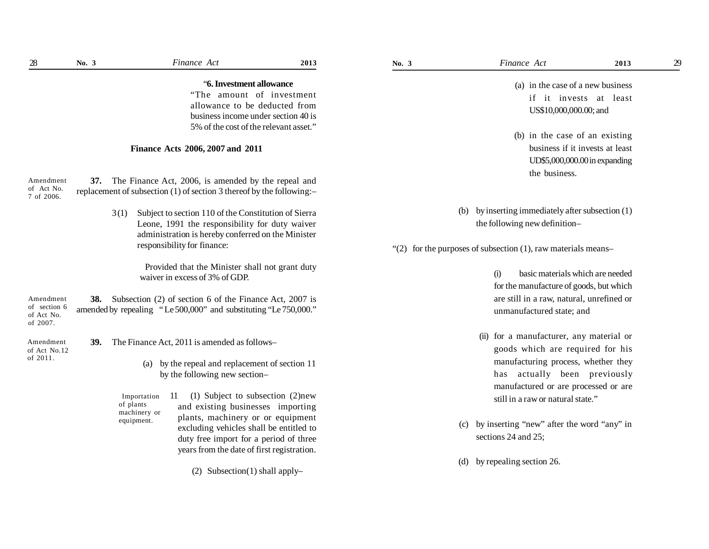|                                       | "6. Investment allowance                                                                                                                                                         |
|---------------------------------------|----------------------------------------------------------------------------------------------------------------------------------------------------------------------------------|
|                                       | "The amount of investment"                                                                                                                                                       |
|                                       | allowance to be deducted from                                                                                                                                                    |
|                                       | business income under section 40 is                                                                                                                                              |
|                                       | 5% of the cost of the relevant asset."                                                                                                                                           |
|                                       | Finance Acts 2006, 2007 and 2011                                                                                                                                                 |
| Amendment<br>of Act No.<br>7 of 2006. | 37. The Finance Act, 2006, is amended by the repeal and<br>replacement of subsection $(1)$ of section 3 thereof by the following:-                                               |
|                                       | Subject to section 110 of the Constitution of Sierra<br>3 <sub>(1)</sub><br>Leone, 1991 the responsibility for duty waiver<br>administration is hereby conferred on the Minister |

Provided that the Minister shall not grant duty waiver in excess of 3% of GDP.

**38.** Subsection (2) of section 6 of the Finance Act, 2007 is amended by repealing " Le 500,000" and substituting "Le 750,000." Amendment of section 6 of Act No. of 2007.

responsibility for finance:

**39.** The Finance Act, 2011 is amended as follows– Amendment of Act No.12 of 2011.

(a) by the repeal and replacement of section 11 by the following new section–

11 (1) Subject to subsection (2)new and existing businesses importing plants, machinery or or equipment excluding vehicles shall be entitled to duty free import for a period of three years from the date of first registration. Importation of plants machinery or equipment.

(2) Subsection(1) shall apply–

- (a) in the case of a new business if it invests at least US\$10,000,000.00; and
- (b) in the case of an existing business if it invests at least UD\$5,000,000.00 in expanding the business.
- (b) by inserting immediately after subsection (1) the following new definition–

" $(2)$  for the purposes of subsection  $(1)$ , raw materials means–

- (i) basic materials which are needed for the manufacture of goods, but which are still in a raw, natural, unrefined or unmanufactured state; and
- (ii) for a manufacturer, any material or goods which are required for his manufacturing process, whether they has actually been previously manufactured or are processed or are still in a raw or natural state."
- (c) by inserting "new" after the word "any" in sections 24 and 25;
- (d) by repealing section 26.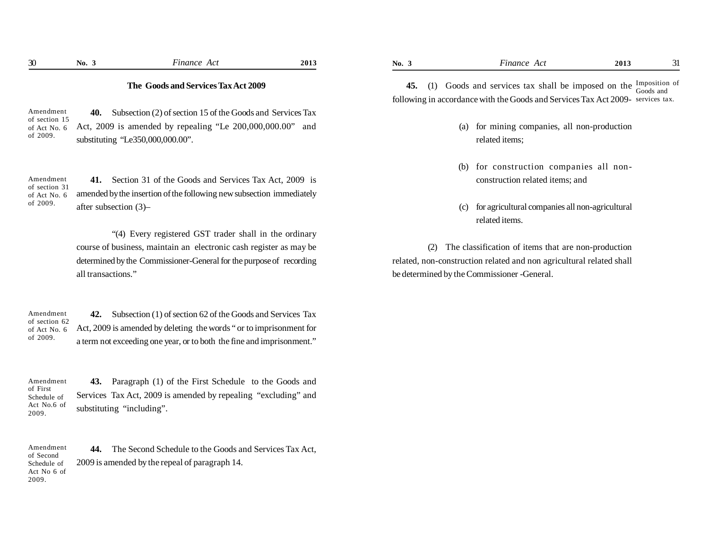Amendment of section 15 of Act No. 6 of 2009.

**40.** Subsection (2) of section 15 of the Goods and Services Tax Act, 2009 is amended by repealing "Le 200,000,000.00" and substituting "Le350,000,000.00".

**41.** Section 31 of the Goods and Services Tax Act, 2009 is amended by the insertion of the following new subsection immediately after subsection (3)– Amendment of section 31 of Act No. 6 of 2009.

> "(4) Every registered GST trader shall in the ordinary course of business, maintain an electronic cash register as may be determined by the Commissioner-General for the purpose of recording all transactions."

**42.** Subsection (1) of section 62 of the Goods and Services Tax Act, 2009 is amended by deleting the words " or to imprisonment for a term not exceeding one year, or to both the fine and imprisonment." Amendment of section 62 of Act No. 6 of 2009.

Amendment of First Schedule of Act No.6 of 2009.

**43.** Paragraph (1) of the First Schedule to the Goods and Services Tax Act, 2009 is amended by repealing "excluding" and substituting "including".

**44.** The Second Schedule to the Goods and Services Tax Act, 2009 is amended by the repeal of paragraph 14. Amendment of Second Schedule of Act No 6 of 2009.

**45.** (1) Goods and services tax shall be imposed on the  $\frac{Imposition}{G(1)}$  of following in accordance with the Goods and Services Tax Act 2009- services tax. Goods and

- (a) for mining companies, all non-production related items;
- (b) for construction companies all nonconstruction related items; and
- (c) for agricultural companies all non-agricultural related items.

(2) The classification of items that are non-production related, non-construction related and non agricultural related shall be determined by the Commissioner -General.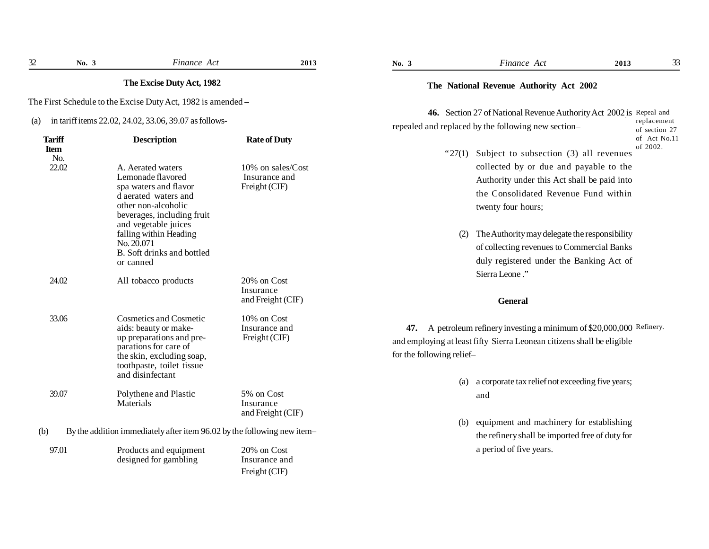|                                              | The Excise Duty Act, 1982                                                                                                                                                                  |                                                                            | The National Revenue Authority Act 2002                                                                                                                                                                                                     |                              |
|----------------------------------------------|--------------------------------------------------------------------------------------------------------------------------------------------------------------------------------------------|----------------------------------------------------------------------------|---------------------------------------------------------------------------------------------------------------------------------------------------------------------------------------------------------------------------------------------|------------------------------|
|                                              | The First Schedule to the Excise Duty Act, 1982 is amended -                                                                                                                               |                                                                            | 46. Section 27 of National Revenue Authority Act 2002 is Repeal and                                                                                                                                                                         |                              |
| (a)                                          | in tariff items 22.02, 24.02, 33.06, 39.07 as follows-                                                                                                                                     |                                                                            | repealed and replaced by the following new section-                                                                                                                                                                                         | replacement<br>of section 27 |
| <b>Tariff</b><br><b>Item</b><br>No.<br>22.02 | <b>Description</b><br>A. Aerated waters<br>Lemonade flavored<br>spa waters and flavor<br>d aerated waters and<br>other non-alcoholic<br>beverages, including fruit<br>and vegetable juices | <b>Rate of Duty</b><br>10% on sales/Cost<br>Insurance and<br>Freight (CIF) | "27(1) Subject to subsection (3) all revenues<br>collected by or due and payable to the<br>Authority under this Act shall be paid into<br>the Consolidated Revenue Fund within<br>twenty four hours;                                        | of Act No.11<br>of 2002.     |
|                                              | falling within Heading<br>No. 20.071<br>B. Soft drinks and bottled<br>or canned                                                                                                            |                                                                            | The Authority may delegate the responsibility<br>(2)<br>of collecting revenues to Commercial Banks<br>duly registered under the Banking Act of<br>Sierra Leone."                                                                            |                              |
| 24.02                                        | All tobacco products                                                                                                                                                                       | 20% on Cost<br>Insurance<br>and Freight (CIF)                              | <b>General</b>                                                                                                                                                                                                                              |                              |
| 33.06                                        | <b>Cosmetics and Cosmetic</b><br>aids: beauty or make-<br>up preparations and pre-<br>parations for care of<br>the skin, excluding soap,<br>toothpaste, toilet tissue<br>and disinfectant  | 10% on Cost<br>Insurance and<br>Freight (CIF)                              | A petroleum refinery investing a minimum of \$20,000,000 Refinery.<br>47.<br>and employing at least fifty Sierra Leonean citizens shall be eligible<br>for the following relief-<br>a corporate tax relief not exceeding five years;<br>(a) |                              |
| 39.07                                        | Polythene and Plastic<br>Materials                                                                                                                                                         | 5% on Cost<br>Insurance<br>and Freight (CIF)                               | and                                                                                                                                                                                                                                         |                              |
| (b)                                          | By the addition immediately after item 96.02 by the following new item-                                                                                                                    |                                                                            | equipment and machinery for establishing<br>(b)<br>the refinery shall be imported free of duty for                                                                                                                                          |                              |
| 97.01                                        | Products and equipment<br>designed for gambling                                                                                                                                            | 20% on Cost<br>Insurance and<br>Freight (CIF)                              | a period of five years.                                                                                                                                                                                                                     |                              |

**No. 3** *Finance Act* **2013 No. 3** *Finance Act* **2013**

32 **No. 3** Finance Act **2013 No. 3** Finance Act 2013 **5** 2013 **12013 12013 133**